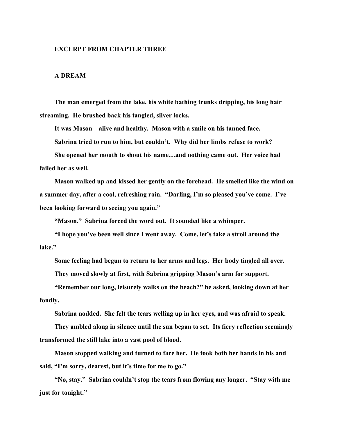## **EXCERPT FROM CHAPTER THREE**

## **A DREAM**

**The man emerged from the lake, his white bathing trunks dripping, his long hair streaming. He brushed back his tangled, silver locks.** 

**It was Mason – alive and healthy. Mason with a smile on his tanned face.** 

**Sabrina tried to run to him, but couldn't. Why did her limbs refuse to work?** 

**She opened her mouth to shout his name…and nothing came out. Her voice had failed her as well.** 

**Mason walked up and kissed her gently on the forehead. He smelled like the wind on a summer day, after a cool, refreshing rain. "Darling, I'm so pleased you've come. I've been looking forward to seeing you again."** 

**"Mason." Sabrina forced the word out. It sounded like a whimper.** 

**"I hope you've been well since I went away. Come, let's take a stroll around the lake."** 

**Some feeling had begun to return to her arms and legs. Her body tingled all over. They moved slowly at first, with Sabrina gripping Mason's arm for support.** 

**"Remember our long, leisurely walks on the beach?" he asked, looking down at her fondly.** 

**Sabrina nodded. She felt the tears welling up in her eyes, and was afraid to speak.** 

**They ambled along in silence until the sun began to set. Its fiery reflection seemingly transformed the still lake into a vast pool of blood.** 

**Mason stopped walking and turned to face her. He took both her hands in his and said, "I'm sorry, dearest, but it's time for me to go."** 

**"No, stay." Sabrina couldn't stop the tears from flowing any longer. "Stay with me just for tonight."**